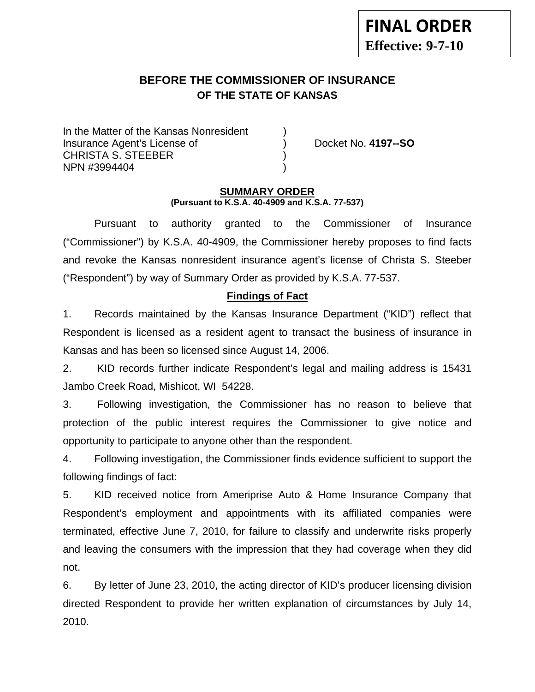# **BEFORE THE COMMISSIONER OF INSURANCE OF THE STATE OF KANSAS**

In the Matter of the Kansas Nonresident Insurance Agent's License of ) Docket No. **4197--SO** CHRISTA S. STEEBER ) NPN #3994404 )

### **SUMMARY ORDER (Pursuant to K.S.A. 40-4909 and K.S.A. 77-537)**

 Pursuant to authority granted to the Commissioner of Insurance ("Commissioner") by K.S.A. 40-4909, the Commissioner hereby proposes to find facts and revoke the Kansas nonresident insurance agent's license of Christa S. Steeber ("Respondent") by way of Summary Order as provided by K.S.A. 77-537.

## **Findings of Fact**

1. Records maintained by the Kansas Insurance Department ("KID") reflect that Respondent is licensed as a resident agent to transact the business of insurance in Kansas and has been so licensed since August 14, 2006.

2. KID records further indicate Respondent's legal and mailing address is 15431 Jambo Creek Road, Mishicot, WI 54228.

3. Following investigation, the Commissioner has no reason to believe that protection of the public interest requires the Commissioner to give notice and opportunity to participate to anyone other than the respondent.

4. Following investigation, the Commissioner finds evidence sufficient to support the following findings of fact:

5. KID received notice from Ameriprise Auto & Home Insurance Company that Respondent's employment and appointments with its affiliated companies were terminated, effective June 7, 2010, for failure to classify and underwrite risks properly and leaving the consumers with the impression that they had coverage when they did not.

6. By letter of June 23, 2010, the acting director of KID's producer licensing division directed Respondent to provide her written explanation of circumstances by July 14, 2010.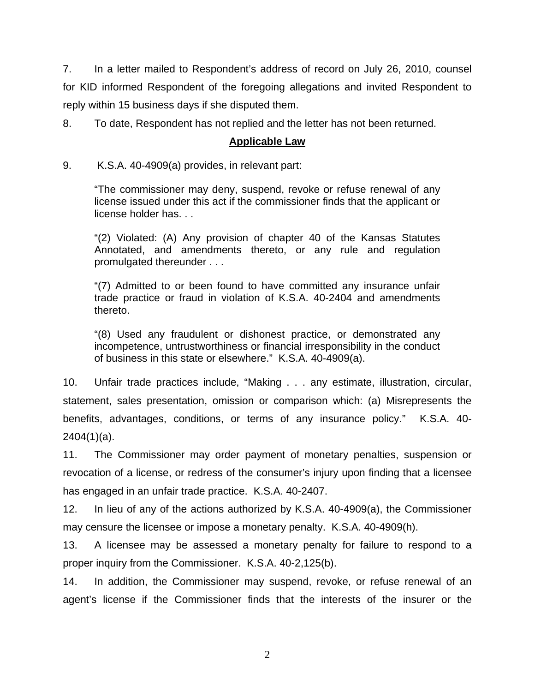7. In a letter mailed to Respondent's address of record on July 26, 2010, counsel for KID informed Respondent of the foregoing allegations and invited Respondent to reply within 15 business days if she disputed them.

8. To date, Respondent has not replied and the letter has not been returned.

### **Applicable Law**

9. K.S.A. 40-4909(a) provides, in relevant part:

"The commissioner may deny, suspend, revoke or refuse renewal of any license issued under this act if the commissioner finds that the applicant or license holder has. . .

"(2) Violated: (A) Any provision of chapter 40 of the Kansas Statutes Annotated, and amendments thereto, or any rule and regulation promulgated thereunder . . .

"(7) Admitted to or been found to have committed any insurance unfair trade practice or fraud in violation of K.S.A. 40-2404 and amendments thereto.

"(8) Used any fraudulent or dishonest practice, or demonstrated any incompetence, untrustworthiness or financial irresponsibility in the conduct of business in this state or elsewhere." K.S.A. 40-4909(a).

10. Unfair trade practices include, "Making . . . any estimate, illustration, circular, statement, sales presentation, omission or comparison which: (a) Misrepresents the benefits, advantages, conditions, or terms of any insurance policy." K.S.A. 40- 2404(1)(a).

11. The Commissioner may order payment of monetary penalties, suspension or revocation of a license, or redress of the consumer's injury upon finding that a licensee has engaged in an unfair trade practice. K.S.A. 40-2407.

12. In lieu of any of the actions authorized by K.S.A. 40-4909(a), the Commissioner may censure the licensee or impose a monetary penalty. K.S.A. 40-4909(h).

13. A licensee may be assessed a monetary penalty for failure to respond to a proper inquiry from the Commissioner. K.S.A. 40-2,125(b).

14. In addition, the Commissioner may suspend, revoke, or refuse renewal of an agent's license if the Commissioner finds that the interests of the insurer or the

2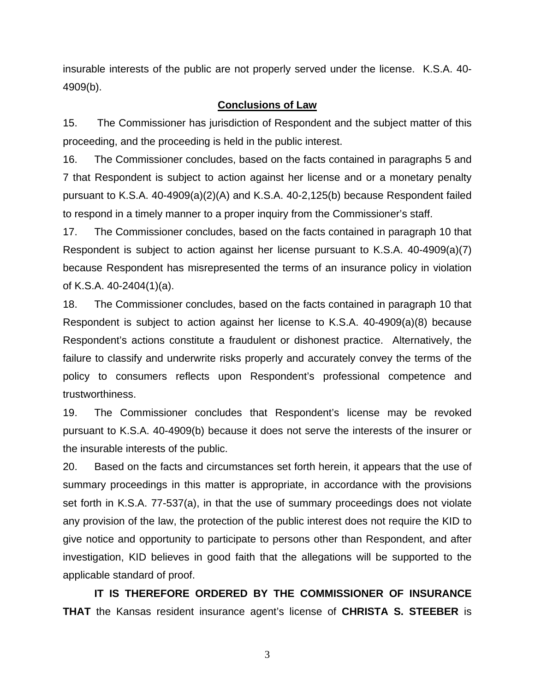insurable interests of the public are not properly served under the license. K.S.A. 40- 4909(b).

#### **Conclusions of Law**

15. The Commissioner has jurisdiction of Respondent and the subject matter of this proceeding, and the proceeding is held in the public interest.

16. The Commissioner concludes, based on the facts contained in paragraphs 5 and 7 that Respondent is subject to action against her license and or a monetary penalty pursuant to K.S.A. 40-4909(a)(2)(A) and K.S.A. 40-2,125(b) because Respondent failed to respond in a timely manner to a proper inquiry from the Commissioner's staff.

17. The Commissioner concludes, based on the facts contained in paragraph 10 that Respondent is subject to action against her license pursuant to K.S.A. 40-4909(a)(7) because Respondent has misrepresented the terms of an insurance policy in violation of K.S.A. 40-2404(1)(a).

18. The Commissioner concludes, based on the facts contained in paragraph 10 that Respondent is subject to action against her license to K.S.A. 40-4909(a)(8) because Respondent's actions constitute a fraudulent or dishonest practice. Alternatively, the failure to classify and underwrite risks properly and accurately convey the terms of the policy to consumers reflects upon Respondent's professional competence and trustworthiness.

19. The Commissioner concludes that Respondent's license may be revoked pursuant to K.S.A. 40-4909(b) because it does not serve the interests of the insurer or the insurable interests of the public.

20. Based on the facts and circumstances set forth herein, it appears that the use of summary proceedings in this matter is appropriate, in accordance with the provisions set forth in K.S.A. 77-537(a), in that the use of summary proceedings does not violate any provision of the law, the protection of the public interest does not require the KID to give notice and opportunity to participate to persons other than Respondent, and after investigation, KID believes in good faith that the allegations will be supported to the applicable standard of proof.

 **IT IS THEREFORE ORDERED BY THE COMMISSIONER OF INSURANCE THAT** the Kansas resident insurance agent's license of **CHRISTA S. STEEBER** is

3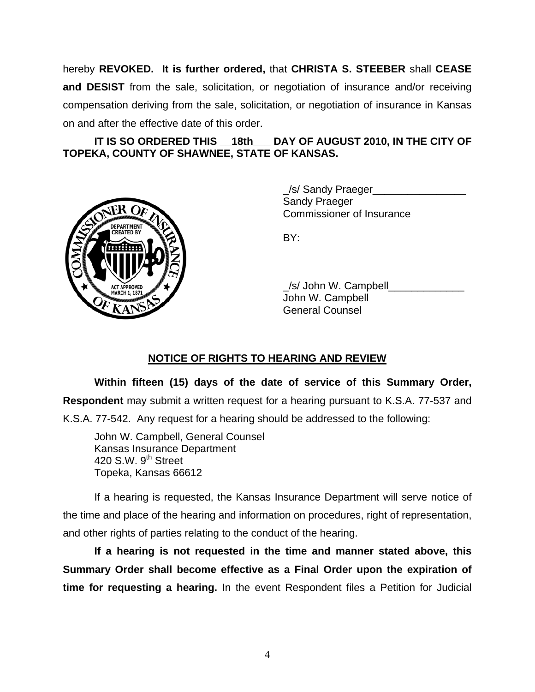hereby **REVOKED. It is further ordered,** that **CHRISTA S. STEEBER** shall **CEASE and DESIST** from the sale, solicitation, or negotiation of insurance and/or receiving compensation deriving from the sale, solicitation, or negotiation of insurance in Kansas on and after the effective date of this order.

## **IT IS SO ORDERED THIS \_\_18th\_\_\_ DAY OF AUGUST 2010, IN THE CITY OF TOPEKA, COUNTY OF SHAWNEE, STATE OF KANSAS.**



/s/ Sandy Praeger Sandy Praeger Commissioner of Insurance

/s/ John W. Campbell John W. Campbell General Counsel

## **NOTICE OF RIGHTS TO HEARING AND REVIEW**

**Within fifteen (15) days of the date of service of this Summary Order, Respondent** may submit a written request for a hearing pursuant to K.S.A. 77-537 and K.S.A. 77-542. Any request for a hearing should be addressed to the following:

 John W. Campbell, General Counsel Kansas Insurance Department 420 S.W.  $9<sup>th</sup>$  Street Topeka, Kansas 66612

If a hearing is requested, the Kansas Insurance Department will serve notice of the time and place of the hearing and information on procedures, right of representation, and other rights of parties relating to the conduct of the hearing.

**If a hearing is not requested in the time and manner stated above, this Summary Order shall become effective as a Final Order upon the expiration of time for requesting a hearing.** In the event Respondent files a Petition for Judicial